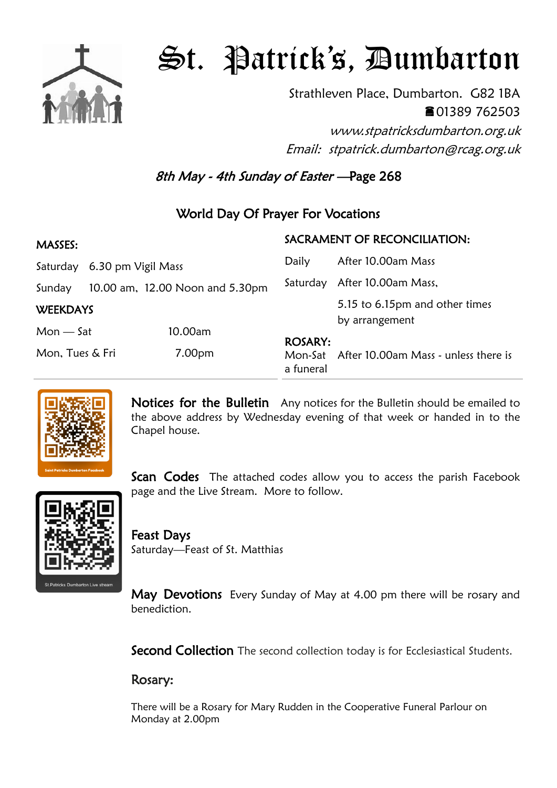

# St. Patrick's, Dumbarton

Strathleven Place, Dumbarton. G82 1BA 01389 762503

www.stpatricksdumbarton.org.uk Email: stpatrick.dumbarton@rcag.org.uk

8th May - 4th Sunday of Easter —Page 268

## World Day Of Prayer For Vocations

| <b>MASSES:</b>  |                    |                                 | SACRAMENT OF RECONCILIATION: |                                                  |
|-----------------|--------------------|---------------------------------|------------------------------|--------------------------------------------------|
| Saturday        | 6.30 pm Vigil Mass |                                 | Daily                        | After 10.00am Mass                               |
| Sunday          |                    | 10.00 am, 12.00 Noon and 5.30pm | Saturday                     | After 10.00am Mass,                              |
| <b>WEEKDAYS</b> |                    |                                 |                              | 5.15 to 6.15pm and other times<br>by arrangement |
| $Mon - Sat$     |                    | 10.00am                         |                              |                                                  |
| Mon, Tues & Fri |                    | 7.00pm                          | <b>ROSARY:</b><br>a funeral  | Mon-Sat After 10.00am Mass - unless there is     |



Notices for the Bulletin Any notices for the Bulletin should be emailed to the above address by Wednesday evening of that week or handed in to the Chapel house.

**Scan Codes** The attached codes allow you to access the parish Facebook page and the Live Stream. More to follow.



Feast Days Saturday—Feast of St. Matthias

May Devotions Every Sunday of May at 4.00 pm there will be rosary and benediction.

Second Collection The second collection today is for Ecclesiastical Students.

### Rosary:

There will be a Rosary for Mary Rudden in the Cooperative Funeral Parlour on Monday at 2.00pm